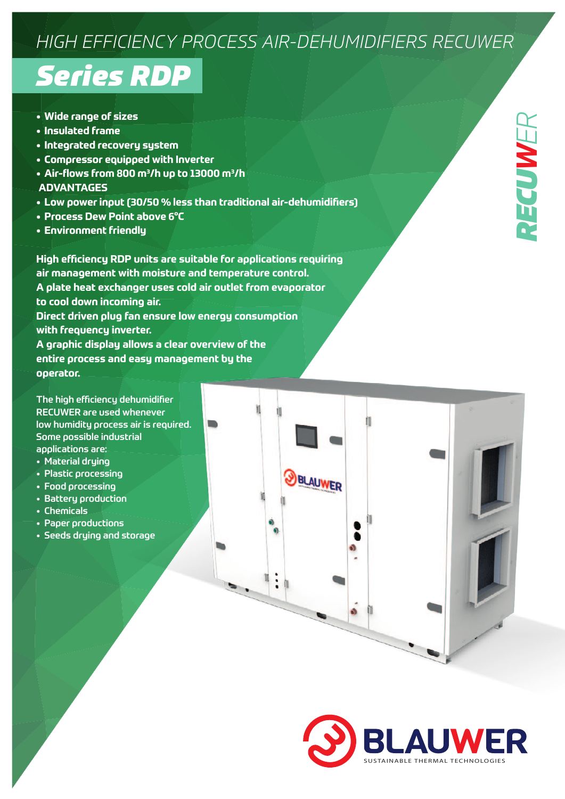## *HIGH EFFICIENCY PROCESS AIR-DEHUMIDIFIERS RECUWER*

**BLAUWER** 

## **Series RDP**

- **• Wide range of sizes**
- **• Insulated frame**
- **• Integrated recovery system**
- **• Compressor equipped with Inverter**
- **• Air-flows from 800 m<sup>3</sup> /h up to 13000 m<sup>3</sup> /h ADVANTAGES**
- **• Low power input (30/50 % less than traditional air-dehumidifiers)**
- **• Process Dew Point above 6°C**
- **• Environment friendly**

**High efficiency RDP units are suitable for applications requiring air management with moisture and temperature control. A plate heat exchanger uses cold air outlet from evaporator to cool down incoming air. Direct driven plug fan ensure low energy consumption with frequency inverter. A graphic display allows a clear overview of the entire process and easy management by the operator.**

The high efficiency dehumidifier RECUWER are used whenever low humidity process air is required. Some possible industrial applications are:

- Material drying • Plastic processing
- Food processing
- • Battery production
- • Chemicals
- Paper productions
- Seeds druing and storage